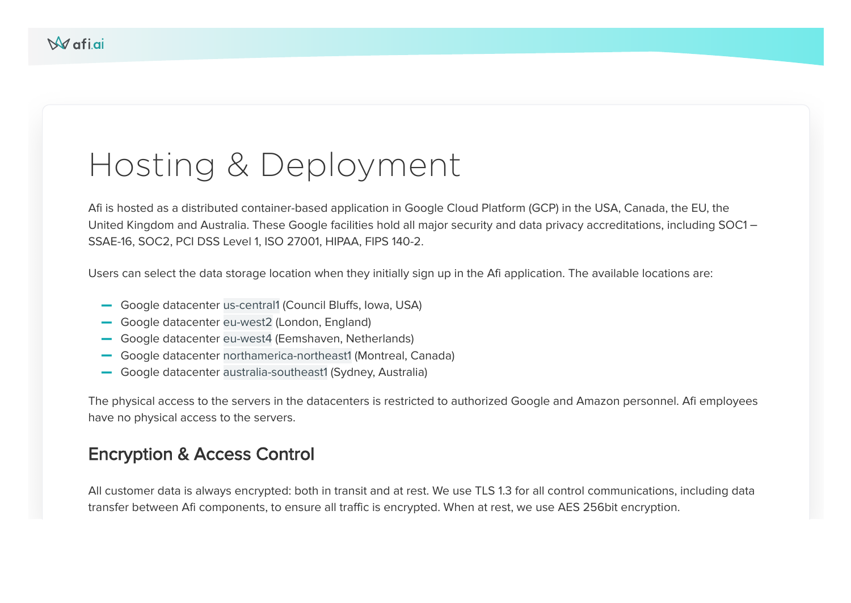# Hosting & Deployment

Afi is hosted as a distributed container-based application in Google Cloud Platform (GCP) in the USA, Canada, the EU, the United Kingdom and Australia. These Google facilities hold all major security and data privacy accreditations, including SOC1 – SSAE-16, SOC2, PCI DSS Level 1, ISO 27001, HIPAA, FIPS 140-2.

Users can select the data storage location when they initially sign up in the Afi application. The available locations are:

- Google datacenter us-central1 (Council Bluffs, Iowa, USA) **–**
- Google datacenter eu-west2 (London, England) **–**
- Google datacenter eu-west4 (Eemshaven, Netherlands) **–**
- Google datacenter northamerica-northeast1 (Montreal, Canada) **–**
- Google datacenter australia-southeast1 (Sydney, Australia) **–**

The physical access to the servers in the datacenters is restricted to authorized Google and Amazon personnel. Afi employees have no physical access to the servers.

#### Encryption & Access Control

All customer data is always encrypted: both in transit and at rest. We use TLS 1.3 for all control communications, including data transfer between Afi components, to ensure all traffic is encrypted. When at rest, we use AES 256bit encryption.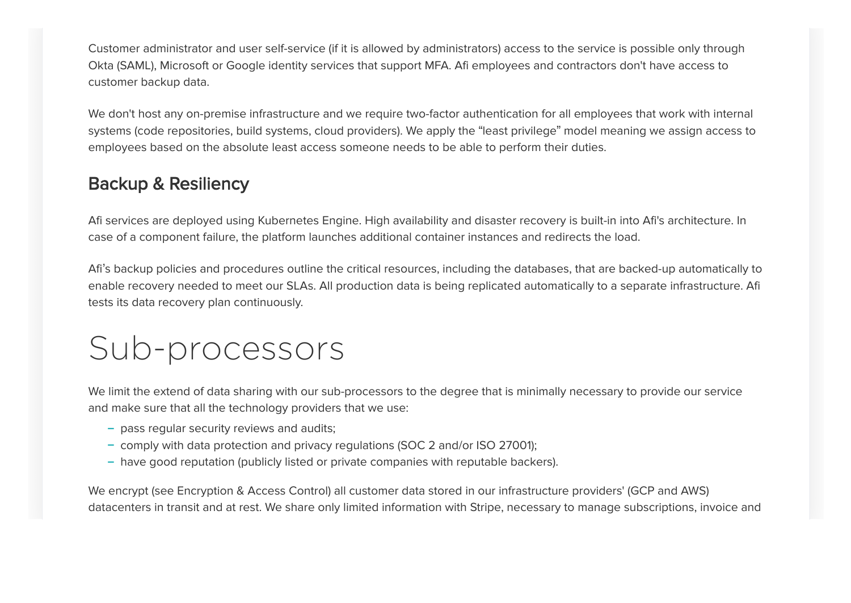Customer administrator and user self-service (if it is allowed by administrators) access to the service is possible only through Okta (SAML), Microsoft or Google identity services that support MFA. Afi employees and contractors don't have access to customer backup data.

We don't host any on-premise infrastructure and we require two-factor authentication for all employees that work with internal systems (code repositories, build systems, cloud providers). We apply the "least privilege" model meaning we assign access to employees based on the absolute least access someone needs to be able to perform their duties.

### Backup & Resiliency

Afi services are deployed using Kubernetes Engine. High availability and disaster recovery is built-in into Afi's architecture. In case of a component failure, the platform launches additional container instances and redirects the load.

Afi's backup policies and procedures outline the critical resources, including the databases, that are backed-up automatically to enable recovery needed to meet our SLAs. All production data is being replicated automatically to a separate infrastructure. Afi tests its data recovery plan continuously.

# Sub-processors

We limit the extend of data sharing with our sub-processors to the degree that is minimally necessary to provide our service and make sure that all the technology providers that we use:

- pass regular security reviews and audits; **–**
- comply with data protection and privacy regulations (SOC 2 and/or ISO 27001); **–**
- have good reputation (publicly listed or private companies with reputable backers).

We encrypt (see Encryption & Access Control) all customer data stored in our infrastructure providers' (GCP and AWS) datacenters in transit and at rest. We share only limited information with Stripe, necessary to manage subscriptions, invoice and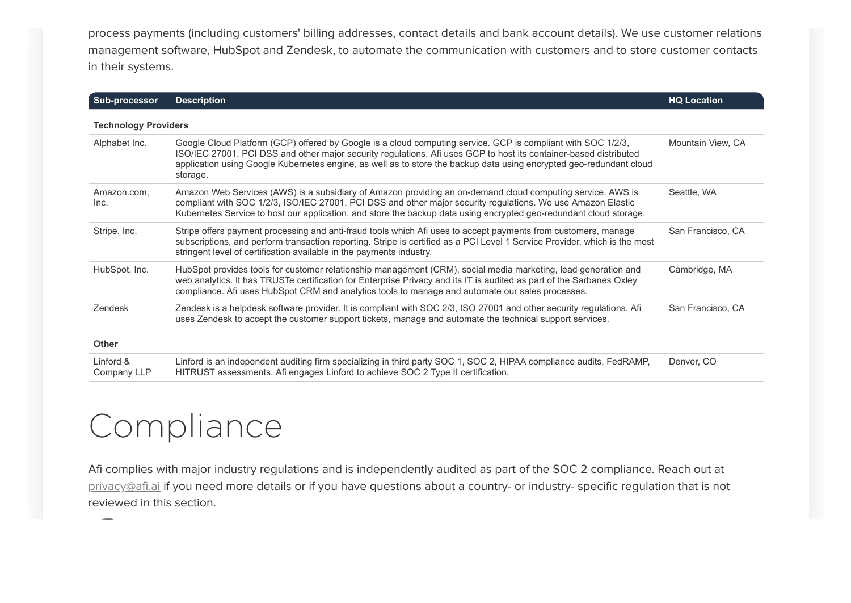process payments (including customers' billing addresses, contact details and bank account details). We use customer relations management software, HubSpot and Zendesk, to automate the communication with customers and to store customer contacts in their systems.

| <b>Sub-processor</b>        | <b>Description</b>                                                                                                                                                                                                                                                                                                                                                   | <b>HQ Location</b> |
|-----------------------------|----------------------------------------------------------------------------------------------------------------------------------------------------------------------------------------------------------------------------------------------------------------------------------------------------------------------------------------------------------------------|--------------------|
| <b>Technology Providers</b> |                                                                                                                                                                                                                                                                                                                                                                      |                    |
| Alphabet Inc.               | Google Cloud Platform (GCP) offered by Google is a cloud computing service. GCP is compliant with SOC 1/2/3,<br>ISO/IEC 27001, PCI DSS and other major security regulations. Afi uses GCP to host its container-based distributed<br>application using Google Kubernetes engine, as well as to store the backup data using encrypted geo-redundant cloud<br>storage. | Mountain View, CA  |
| Amazon.com.<br>Inc.         | Amazon Web Services (AWS) is a subsidiary of Amazon providing an on-demand cloud computing service. AWS is<br>compliant with SOC 1/2/3, ISO/IEC 27001, PCI DSS and other major security regulations. We use Amazon Elastic<br>Kubernetes Service to host our application, and store the backup data using encrypted geo-redundant cloud storage.                     | Seattle, WA        |
| Stripe, Inc.                | Stripe offers payment processing and anti-fraud tools which Afi uses to accept payments from customers, manage<br>subscriptions, and perform transaction reporting. Stripe is certified as a PCI Level 1 Service Provider, which is the most<br>stringent level of certification available in the payments industry.                                                 | San Francisco, CA  |
| HubSpot, Inc.               | HubSpot provides tools for customer relationship management (CRM), social media marketing, lead generation and<br>web analytics. It has TRUSTe certification for Enterprise Privacy and its IT is audited as part of the Sarbanes Oxley<br>compliance. Afi uses HubSpot CRM and analytics tools to manage and automate our sales processes.                          | Cambridge, MA      |
| Zendesk                     | Zendesk is a helpdesk software provider. It is compliant with SOC 2/3, ISO 27001 and other security regulations. Afi<br>uses Zendesk to accept the customer support tickets, manage and automate the technical support services.                                                                                                                                     | San Francisco, CA  |
| <b>Other</b>                |                                                                                                                                                                                                                                                                                                                                                                      |                    |
| Linford &<br>Company LLP    | Linford is an independent auditing firm specializing in third party SOC 1, SOC 2, HIPAA compliance audits, FedRAMP,<br>HITRUST assessments. Afi engages Linford to achieve SOC 2 Type II certification.                                                                                                                                                              | Denver, CO         |

# Compliance

Afi complies with major industry regulations and is independently audited as part of the SOC 2 compliance. Reach out at [privacy@afi.ai](mailto:privacy@afi.ai) if you need more details or if you have questions about a country- or industry- specific regulation that is not reviewed in this section.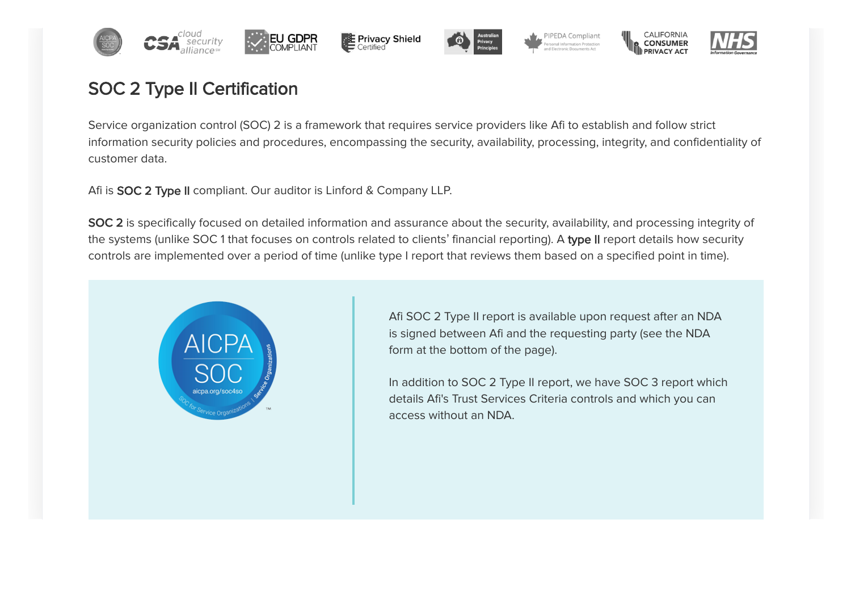



PIPEDA Compliant



**CONSUMER** 

# SOC 2 Type II Certification

Service organization control (SOC) 2 is a framework that requires service providers like Afi to establish and follow strict information security policies and procedures, encompassing the security, availability, processing, integrity, and confidentiality of customer data.

Afi is **SOC 2 Type II** compliant. Our auditor is Linford & Company LLP.

SOC 2 is specifically focused on detailed information and assurance about the security, availability, and processing integrity of the systems (unlike SOC1 that focuses on controls related to clients' financial reporting). A type II report details how security controls are implemented over a period of time (unlike type I report that reviews them based on a specified point in time).



Afi SOC 2 Type II report is available upon request after an NDA is signed between Afi and the requesting party (see the NDA form at the bottom of the page).

In addition to SOC 2 Type II report, we have SOC 3 report which details Afi's Trust Services Criteria controls and which you can access without an NDA.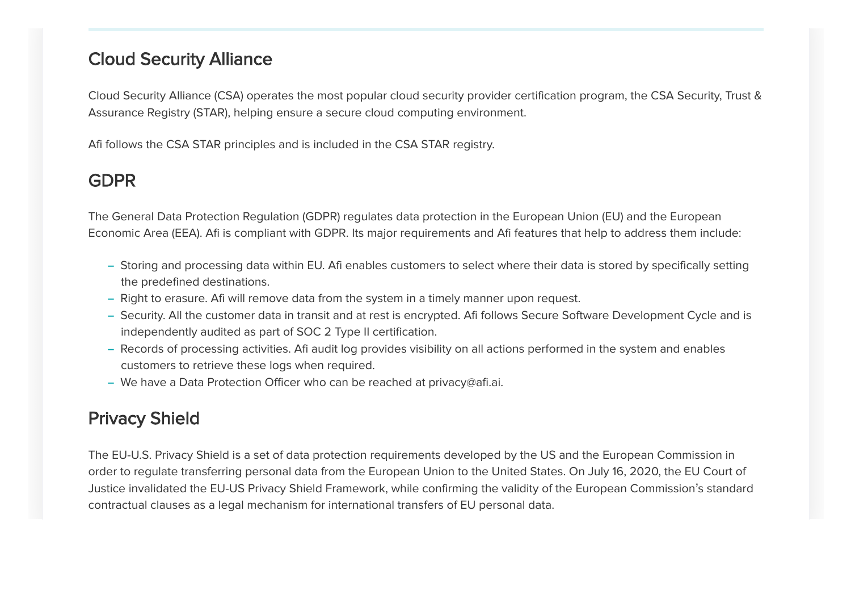#### Cloud Security Alliance

Cloud Security Alliance (CSA) operates the most popular cloud security provider certification program, the CSA Security, Trust & Assurance Registry (STAR), helping ensure a secure cloud computing environment.

Afi follows the CSA STAR principles and is included in the CSA STAR registry.

## GDPR

The General Data Protection Regulation (GDPR) regulates data protection in the European Union (EU) and the European Economic Area (EEA). Afi is compliant with GDPR. Its major requirements and Afi features that help to address them include:

- Storing and processing data within EU. Afi enables customers to select where their data is stored by specifically setting **–** the predefined destinations.
- Right to erasure. Afi will remove data from the system in a timely manner upon request.
- Security. All the customer data in transit and at rest is encrypted. Afi follows Secure Software Development Cycle and is **–** independently audited as part of SOC 2 Type II certification.
- Records of processing activities. Afi audit log provides visibility on all actions performed in the system and enables **–** customers to retrieve these logs when required.
- We have a Data Protection Officer who can be reached at privacy@afi.ai. **–**

# Privacy Shield

The EU-U.S. Privacy Shield is a set of data protection requirements developed by the US and the European Commission in order to regulate transferring personal data from the European Union to the United States. On July 16, 2020, the EU Court of Justice invalidated the EU-US Privacy Shield Framework, while confirming the validity of the European Commission's standard contractual clauses as a legal mechanism for international transfers of EU personal data.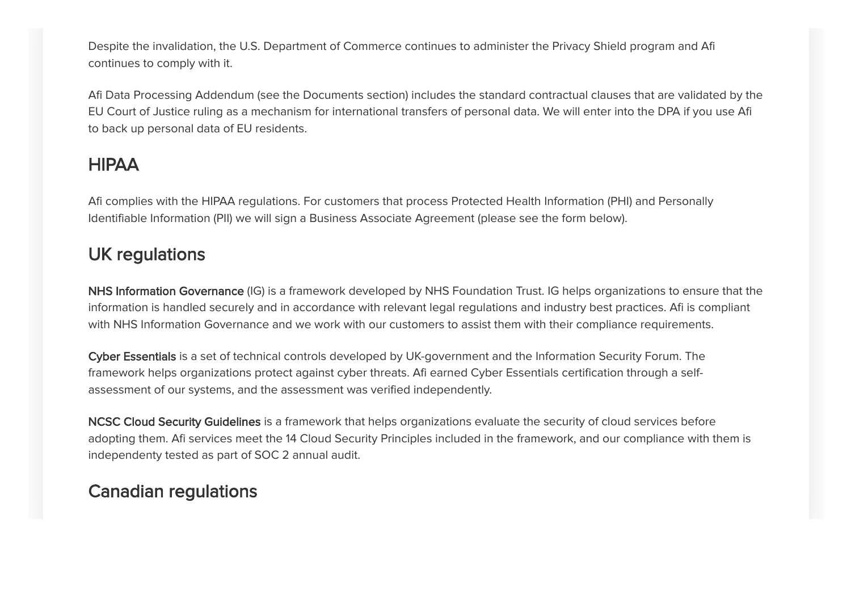Despite the invalidation, the U.S. Department of Commerce continues to administer the Privacy Shield program and Afi continues to comply with it.

Afi Data Processing Addendum (see the Documents section) includes the standard contractual clauses that are validated by the EU Court of Justice ruling as a mechanism for international transfers of personal data. We will enter into the DPA if you use Afi to back up personal data of EU residents.

## HIPAA

Afi complies with the HIPAA regulations. For customers that process Protected Health Information (PHI) and Personally Identifiable Information (PII) we will sign a Business Associate Agreement (please see the form below).

### UK regulations

NHS Information Governance (IG) is a framework developed by NHS Foundation Trust. IG helps organizations to ensure that the information is handled securely and in accordance with relevant legal regulations and industry best practices. Afi is compliant with NHS Information Governance and we work with our customers to assist them with their compliance requirements.

Cyber Essentials is a set of technical controls developed by UK-government and the Information Security Forum. The framework helps organizations protect against cyber threats. Afi earned Cyber Essentials certification through a selfassessment of our systems, and the assessment was verified independently.

NCSC Cloud Security Guidelines is a framework that helps organizations evaluate the security of cloud services before adopting them. Afi services meet the 14 Cloud Security Principles included in the framework, and our compliance with them is independenty tested as part of SOC 2 annual audit.

## Canadian regulations